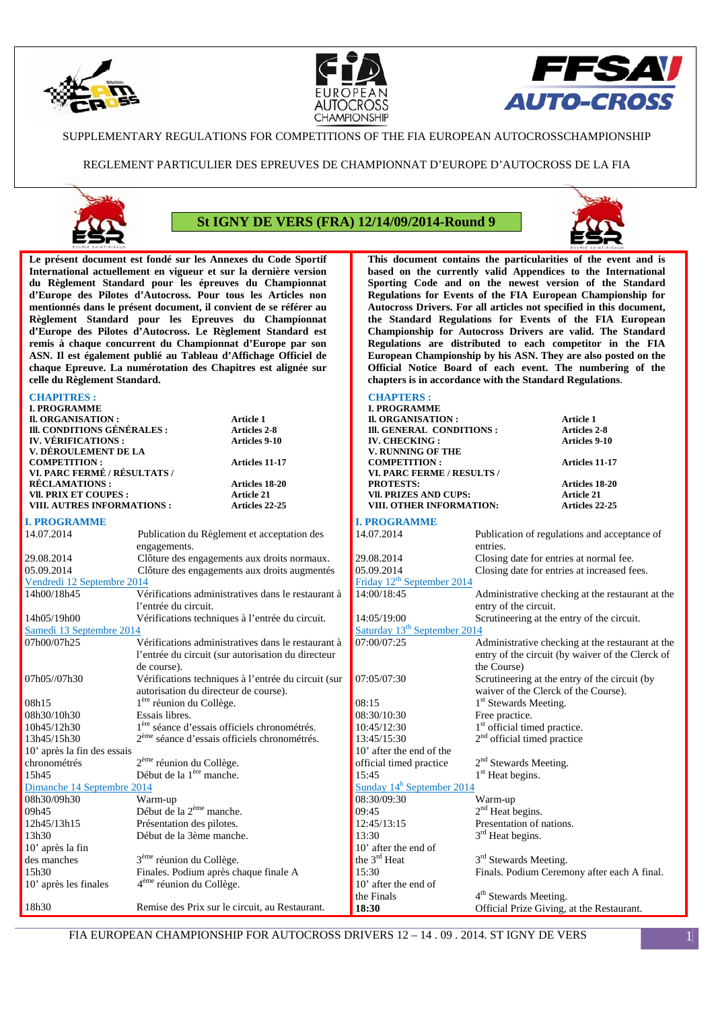





### SUPPLEMENTARY REGULATIONS FOR COMPETITIONS OF THE FIA EUROPEAN AUTOCROSSCHAMPIONSHIP

REGLEMENT PARTICULIER DES EPREUVES DE CHAMPIONNAT D'EUROPE D'AUTOCROSS DE LA FIA



# **St IGNY DE VERS (FRA) 12/14/09/2014-Round 9**



**This document contains the particularities of the event and is based on the currently valid Appendices to the International Sporting Code and on the newest version of the Standard Regulations for Events of the FIA European Championship for Autocross Drivers. For all articles not specified in this document, the Standard Regulations for Events of the FIA European Championship for Autocross Drivers are valid. The Standard Regulations are distributed to each competitor in the FIA European Championship by his ASN. They are also posted on the Official Notice Board of each event. The numbering of the** 

**chapters is in accordance with the Standard Regulations**.

**Le présent document est fondé sur les Annexes du Code Sportif International actuellement en vigueur et sur la dernière version du Règlement Standard pour les épreuves du Championnat d'Europe des Pilotes d'Autocross. Pour tous les Articles non mentionnés dans le présent document, il convient de se référer au Règlement Standard pour les Epreuves du Championnat d'Europe des Pilotes d'Autocross. Le Règlement Standard est remis à chaque concurrent du Championnat d'Europe par son ASN. Il est également publié au Tableau d'Affichage Officiel de chaque Epreuve. La numérotation des Chapitres est alignée sur celle du Règlement Standard.** 

#### **CHAPITRES :**

| <b>CHAPITRES:</b>                                    |                                                          |                                                     | <b>CHAPTERS:</b>                                 |                                            |                                                  |
|------------------------------------------------------|----------------------------------------------------------|-----------------------------------------------------|--------------------------------------------------|--------------------------------------------|--------------------------------------------------|
| <b>I. PROGRAMME</b>                                  |                                                          |                                                     | <b>I. PROGRAMME</b>                              |                                            |                                                  |
| II. ORGANISATION :                                   |                                                          | Article 1                                           | II. ORGANISATION :                               |                                            | Article 1                                        |
| III. CONDITIONS GÉNÉRALES :                          |                                                          | <b>Articles 2-8</b>                                 | III. GENERAL CONDITIONS :                        |                                            | <b>Articles 2-8</b>                              |
| <b>IV. VÉRIFICATIONS:</b>                            |                                                          | <b>Articles 9-10</b>                                | <b>IV. CHECKING:</b>                             |                                            | Articles 9-10                                    |
| V. DÉROULEMENT DE LA                                 |                                                          |                                                     | V. RUNNING OF THE                                |                                            |                                                  |
| <b>COMPETITION:</b>                                  |                                                          | Articles 11-17                                      | <b>COMPETITION:</b>                              |                                            | Articles 11-17                                   |
| VI. PARC FERMÉ / RÉSULTATS /                         |                                                          |                                                     | VI. PARC FERME / RESULTS /                       |                                            |                                                  |
| <b>RECLAMATIONS:</b><br><b>VII. PRIX ET COUPES :</b> |                                                          | Articles 18-20<br><b>Article 21</b>                 | <b>PROTESTS:</b><br><b>VII. PRIZES AND CUPS:</b> |                                            | Articles 18-20<br><b>Article 21</b>              |
| VIII. AUTRES INFORMATIONS :                          |                                                          | <b>Articles 22-25</b>                               | VIII. OTHER INFORMATION:                         |                                            | <b>Articles 22-25</b>                            |
|                                                      |                                                          |                                                     |                                                  |                                            |                                                  |
| <b>I. PROGRAMME</b>                                  |                                                          |                                                     | <b>I. PROGRAMME</b>                              |                                            |                                                  |
| 14.07.2014                                           |                                                          | Publication du Règlement et acceptation des         | 14.07.2014                                       |                                            | Publication of regulations and acceptance of     |
|                                                      | engagements.                                             |                                                     |                                                  | entries.                                   |                                                  |
| 29.08.2014                                           |                                                          | Clôture des engagements aux droits normaux.         | 29.08.2014                                       | Closing date for entries at normal fee.    |                                                  |
| 05.09.2014                                           |                                                          | Clôture des engagements aux droits augmentés        | 05.09.2014                                       |                                            | Closing date for entries at increased fees.      |
| Vendredi 12 Septembre 2014                           |                                                          |                                                     | Friday 12 <sup>th</sup> September 2014           |                                            |                                                  |
| 14h00/18h45                                          |                                                          | Vérifications administratives dans le restaurant à  | 14:00/18:45                                      |                                            | Administrative checking at the restaurant at the |
|                                                      | l'entrée du circuit.                                     |                                                     |                                                  | entry of the circuit.                      |                                                  |
| 14h05/19h00                                          |                                                          | Vérifications techniques à l'entrée du circuit.     | 14:05/19:00                                      | Scrutineering at the entry of the circuit. |                                                  |
| Samedi 13 Septembre 2014                             |                                                          |                                                     | Saturday 13 <sup>th</sup> September 2014         |                                            |                                                  |
| 07h00/07h25                                          |                                                          | Vérifications administratives dans le restaurant à  | 07:00/07:25                                      |                                            | Administrative checking at the restaurant at the |
|                                                      |                                                          | l'entrée du circuit (sur autorisation du directeur  |                                                  |                                            | entry of the circuit (by waiver of the Clerck of |
|                                                      | de course).                                              |                                                     |                                                  | the Course)                                |                                                  |
| 07h05//07h30                                         |                                                          | Vérifications techniques à l'entrée du circuit (sur | 07:05/07:30                                      |                                            | Scrutineering at the entry of the circuit (by    |
|                                                      | autorisation du directeur de course).                    |                                                     |                                                  | waiver of the Clerck of the Course).       |                                                  |
| 08h15                                                | 1ère réunion du Collège.                                 |                                                     | 08:15                                            | 1 <sup>st</sup> Stewards Meeting.          |                                                  |
| 08h30/10h30                                          | Essais libres.                                           |                                                     | 08:30/10:30                                      | Free practice.                             |                                                  |
| 10h45/12h30                                          | 1 <sup>ère</sup> séance d'essais officiels chronométrés. |                                                     | 10:45/12:30                                      | 1 <sup>st</sup> official timed practice.   |                                                  |
| 13h45/15h30                                          | 2 <sup>ème</sup> séance d'essais officiels chronométrés. |                                                     | 13:45/15:30                                      | $2nd$ official timed practice              |                                                  |
| 10' après la fin des essais                          |                                                          |                                                     | 10' after the end of the                         |                                            |                                                  |
| chronométrés                                         | 2 <sup>ème</sup> réunion du Collège.                     |                                                     | official timed practice                          | 2 <sup>nd</sup> Stewards Meeting.          |                                                  |
| 15h45                                                | Début de la 1 <sup>ère</sup> manche.                     |                                                     | 15:45                                            | 1 <sup>st</sup> Heat begins.               |                                                  |
| Dimanche 14 Septembre 2014                           |                                                          |                                                     | Sunday $14^h$ September 2014                     |                                            |                                                  |
| 08h30/09h30                                          | Warm-up                                                  |                                                     | 08:30/09:30                                      | Warm-up                                    |                                                  |
| 09h45                                                | Début de la 2 <sup>ème</sup> manche.                     |                                                     | 09:45                                            | $2nd$ Heat begins.                         |                                                  |
| 12h45/13h15                                          | Présentation des pilotes.                                |                                                     | 12:45/13:15                                      | Presentation of nations.                   |                                                  |
| 13h30                                                | Début de la 3ème manche.                                 |                                                     | 13:30                                            | 3 <sup>rd</sup> Heat begins.               |                                                  |
| 10' après la fin                                     |                                                          |                                                     | 10' after the end of                             |                                            |                                                  |
| des manches                                          | 3 <sup>ème</sup> réunion du Collège.                     |                                                     | the 3 <sup>rd</sup> Heat                         | 3 <sup>rd</sup> Stewards Meeting.          |                                                  |
| 15h30                                                | Finales. Podium après chaque finale A                    |                                                     | 15:30                                            |                                            | Finals. Podium Ceremony after each A final.      |
| 10' après les finales                                | 4 <sup>ème</sup> réunion du Collège.                     |                                                     | 10' after the end of                             |                                            |                                                  |
|                                                      |                                                          |                                                     | the Finals                                       | 4 <sup>th</sup> Stewards Meeting.          |                                                  |
| 18h30                                                |                                                          | Remise des Prix sur le circuit, au Restaurant.      | 18:30                                            | Official Prize Giving, at the Restaurant.  |                                                  |
|                                                      |                                                          |                                                     |                                                  |                                            |                                                  |

FIA EUROPEAN CHAMPIONSHIP FOR AUTOCROSS DRIVERS 12 – 14 . 09 . 2014. ST IGNY DE VERS 1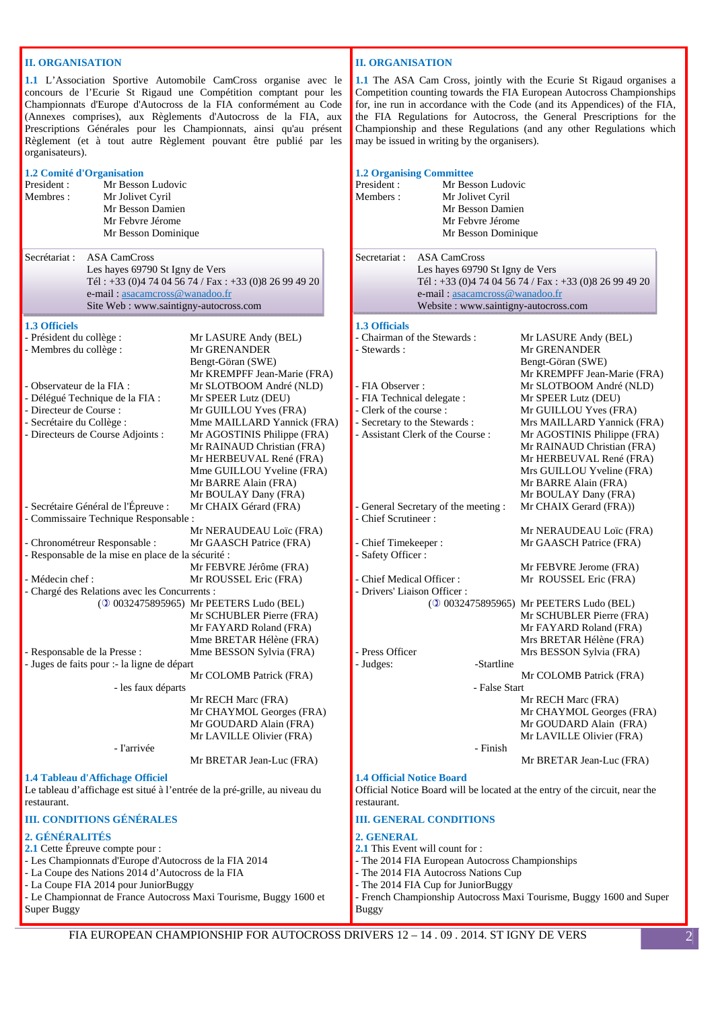# **II. ORGANISATION**

**1.1** L'Association Sportive Automobile CamCross organise avec le concours de l'Ecurie St Rigaud une Compétition comptant pour les Championnats d'Europe d'Autocross de la FIA conformément au Code (Annexes comprises), aux Règlements d'Autocross de la FIA, aux Prescriptions Générales pour les Championnats, ainsi qu'au présent Règlement (et à tout autre Règlement pouvant être publié par les organisateurs).

| 1.2 Comité d'Organisation<br>President:<br>Mr Besson Ludovic<br>Membres:<br>Mr Jolivet Cyril<br>Mr Besson Damien<br>Mr Febyre Jérome<br>Mr Besson Dominique                                                                                                                                                                                                                                                                                                       |                                                                                                                                                                                                                                                                                                                                                                                                                                                                             | <b>1.2 Organising Committe</b><br>President:<br>Mr Be<br>Members:<br>Mr Jo<br>Mr Be<br>$MrF$ e<br>Mr Be                                                                                                                                                                                  |
|-------------------------------------------------------------------------------------------------------------------------------------------------------------------------------------------------------------------------------------------------------------------------------------------------------------------------------------------------------------------------------------------------------------------------------------------------------------------|-----------------------------------------------------------------------------------------------------------------------------------------------------------------------------------------------------------------------------------------------------------------------------------------------------------------------------------------------------------------------------------------------------------------------------------------------------------------------------|------------------------------------------------------------------------------------------------------------------------------------------------------------------------------------------------------------------------------------------------------------------------------------------|
| Secrétariat :<br><b>ASA CamCross</b><br>Les hayes 69790 St Igny de Vers<br>e-mail: asacamcross@wanadoo.fr<br>Site Web: www.saintigny-autocross.com                                                                                                                                                                                                                                                                                                                | Tél: +33 (0)4 74 04 56 74 / Fax: +33 (0)8 26 99 49 20                                                                                                                                                                                                                                                                                                                                                                                                                       | Secretariat:<br><b>ASA CamC</b><br>Les hayes 6<br>Tél: $+33(0)$<br>e-mail: asa<br>Website: w                                                                                                                                                                                             |
| <b>1.3 Officiels</b><br>- Président du collège :<br>- Membres du collège :<br>- Observateur de la FIA :<br>- Délégué Technique de la FIA :<br>- Directeur de Course :<br>- Secrétaire du Collège :<br>- Directeurs de Course Adjoints :                                                                                                                                                                                                                           | Mr LASURE Andy (BEL)<br>Mr GRENANDER<br>Bengt-Göran (SWE)<br>Mr KREMPFF Jean-Marie (FRA)<br>Mr SLOTBOOM André (NLD)<br>Mr SPEER Lutz (DEU)<br>Mr GUILLOU Yves (FRA)<br>Mme MAILLARD Yannick (FRA)<br>Mr AGOSTINIS Philippe (FRA)<br>Mr RAINAUD Christian (FRA)<br>Mr HERBEUVAL René (FRA)<br>Mme GUILLOU Yveline (FRA)<br>Mr BARRE Alain (FRA)                                                                                                                              | <b>1.3 Officials</b><br>- Chairman of the Steward<br>- Stewards :<br>- FIA Observer :<br>- FIA Technical delegate :<br>- Clerk of the course :<br>- Secretary to the Stewards<br>- Assistant Clerk of the Co                                                                             |
| - Secrétaire Général de l'Épreuve :<br>- Commissaire Technique Responsable :<br>- Chronométreur Responsable :<br>- Responsable de la mise en place de la sécurité :<br>- Médecin chef :<br>- Chargé des Relations avec les Concurrents :<br>- Responsable de la Presse :<br>- Juges de faits pour :- la ligne de départ<br>- les faux départs<br>- l'arrivée                                                                                                      | Mr BOULAY Dany (FRA)<br>Mr CHAIX Gérard (FRA)<br>Mr NERAUDEAU Loïc (FRA)<br>Mr GAASCH Patrice (FRA)<br>Mr FEBVRE Jérôme (FRA)<br>Mr ROUSSEL Eric (FRA)<br>(20032475895965) Mr PEETERS Ludo (BEL)<br>Mr SCHUBLER Pierre (FRA)<br>Mr FAYARD Roland (FRA)<br>Mme BRETAR Hélène (FRA)<br>Mme BESSON Sylvia (FRA)<br>Mr COLOMB Patrick (FRA)<br>Mr RECH Marc (FRA)<br>Mr CHAYMOL Georges (FRA)<br>Mr GOUDARD Alain (FRA)<br>Mr LAVILLE Olivier (FRA)<br>Mr BRETAR Jean-Luc (FRA) | - General Secretary of the<br>- Chief Scrutineer:<br>- Chief Timekeeper:<br>- Safety Officer:<br>- Chief Medical Officer:<br>- Drivers' Liaison Officer:<br>$($ 0 0 0 0 0 3 2 $\epsilon$<br>- Press Officer<br>- Judges:                                                                 |
| 1.4 Tableau d'Affichage Officiel<br>Le tableau d'affichage est situé à l'entrée de la pré-grille, au niveau du<br>restaurant.<br><b>III. CONDITIONS GÉNÉRALES</b><br>2. GÉNÉRALITÉS<br>2.1 Cette Épreuve compte pour :<br>- Les Championnats d'Europe d'Autocross de la FIA 2014<br>- La Coupe des Nations 2014 d'Autocross de la FIA<br>- La Coupe FIA 2014 pour JuniorBuggy<br>- Le Championnat de France Autocross Maxi Tourisme, Buggy 1600 et<br>Super Buggy |                                                                                                                                                                                                                                                                                                                                                                                                                                                                             | <b>1.4 Official Notice Board</b><br>Official Notice Board will<br>restaurant.<br><b>III. GENERAL CONDIT</b><br>2. GENERAL<br>2.1 This Event will count 1<br>- The 2014 FIA European<br>- The 2014 FIA Autocross<br>- The 2014 FIA Cup for Ju<br>- French Championship Au<br><b>Buggy</b> |

## **II. ORGANISATION**

**1.1** The ASA Cam Cross, jointly with the Ecurie St Rigaud organises a Competition counting towards the FIA European Autocross Championships for, ine run in accordance with the Code (and its Appendices) of the FIA, the FIA Regulations for Autocross, the General Prescriptions for the Championship and these Regulations (and any other Regulations which may be issued in writing by the organisers).

| Members:<br>Mr Jolivet Cyril                        | Mr Besson Ludovic                                                                       |
|-----------------------------------------------------|-----------------------------------------------------------------------------------------|
|                                                     | Mr Besson Damien                                                                        |
| Mr Febvre Jérome                                    |                                                                                         |
|                                                     | Mr Besson Dominique                                                                     |
| <b>ASA CamCross</b><br>Secretariat:                 |                                                                                         |
|                                                     | Les hayes 69790 St Igny de Vers                                                         |
|                                                     | Tél: +33 (0)4 74 04 56 74 / Fax: +33 (0)8 26 99 49 20<br>e-mail: asacamcross@wanadoo.fr |
|                                                     | Website: www.saintigny-autocross.com                                                    |
|                                                     |                                                                                         |
| <b>1.3 Officials</b><br>- Chairman of the Stewards: |                                                                                         |
| - Stewards :                                        | Mr LASURE Andy (BEL)<br>Mr GRENANDER                                                    |
|                                                     | Bengt-Göran (SWE)                                                                       |
|                                                     | Mr KREMPFF Jean-Marie (FRA)                                                             |
| - FIA Observer :                                    | Mr SLOTBOOM André (NLD)                                                                 |
| - FIA Technical delegate :                          | Mr SPEER Lutz (DEU)                                                                     |
| - Clerk of the course :                             | Mr GUILLOU Yves (FRA)                                                                   |
| - Secretary to the Stewards:                        | Mrs MAILLARD Yannick (FRA)                                                              |
| - Assistant Clerk of the Course:                    | Mr AGOSTINIS Philippe (FRA)                                                             |
|                                                     | Mr RAINAUD Christian (FRA)                                                              |
|                                                     | Mr HERBEUVAL René (FRA)                                                                 |
|                                                     | Mrs GUILLOU Yveline (FRA)                                                               |
|                                                     | Mr BARRE Alain (FRA)                                                                    |
|                                                     | Mr BOULAY Dany (FRA)                                                                    |
| - General Secretary of the meeting :                | Mr CHAIX Gerard (FRA))                                                                  |
| - Chief Scrutineer:                                 |                                                                                         |
|                                                     | Mr NERAUDEAU Loïc (FRA)                                                                 |
| - Chief Timekeeper:                                 | Mr GAASCH Patrice (FRA)                                                                 |
| - Safety Officer:                                   |                                                                                         |
|                                                     | Mr FEBVRE Jerome (FRA)                                                                  |
| - Chief Medical Officer:                            | Mr ROUSSEL Eric (FRA)                                                                   |
| - Drivers' Liaison Officer:                         |                                                                                         |
|                                                     | (20032475895965) Mr PEETERS Ludo (BEL)                                                  |
|                                                     | Mr SCHUBLER Pierre (FRA)                                                                |
|                                                     | Mr FAYARD Roland (FRA)                                                                  |
|                                                     | Mrs BRETAR Hélène (FRA)                                                                 |
| - Press Officer                                     | Mrs BESSON Sylvia (FRA)                                                                 |
| - Judges:                                           | -Startline                                                                              |
|                                                     | Mr COLOMB Patrick (FRA)                                                                 |
|                                                     | - False Start                                                                           |
|                                                     | Mr RECH Marc (FRA)                                                                      |
|                                                     | Mr CHAYMOL Georges (FRA)                                                                |
|                                                     | Mr GOUDARD Alain (FRA)                                                                  |
|                                                     | Mr LAVILLE Olivier (FRA)                                                                |
|                                                     | - Finish                                                                                |
|                                                     | Mr BRETAR Jean-Luc (FRA)                                                                |
| <b>1.4 Official Notice Board</b>                    | Official Notice Board will be located at the entry of the circuit, near the             |
|                                                     |                                                                                         |
| restaurant.<br><b>III. GENERAL CONDITIONS</b>       |                                                                                         |
| 2. GENERAL                                          |                                                                                         |

- Nations Cup  $\text{uniorBuggy}$
- utocross Maxi Tourisme, Buggy 1600 and Super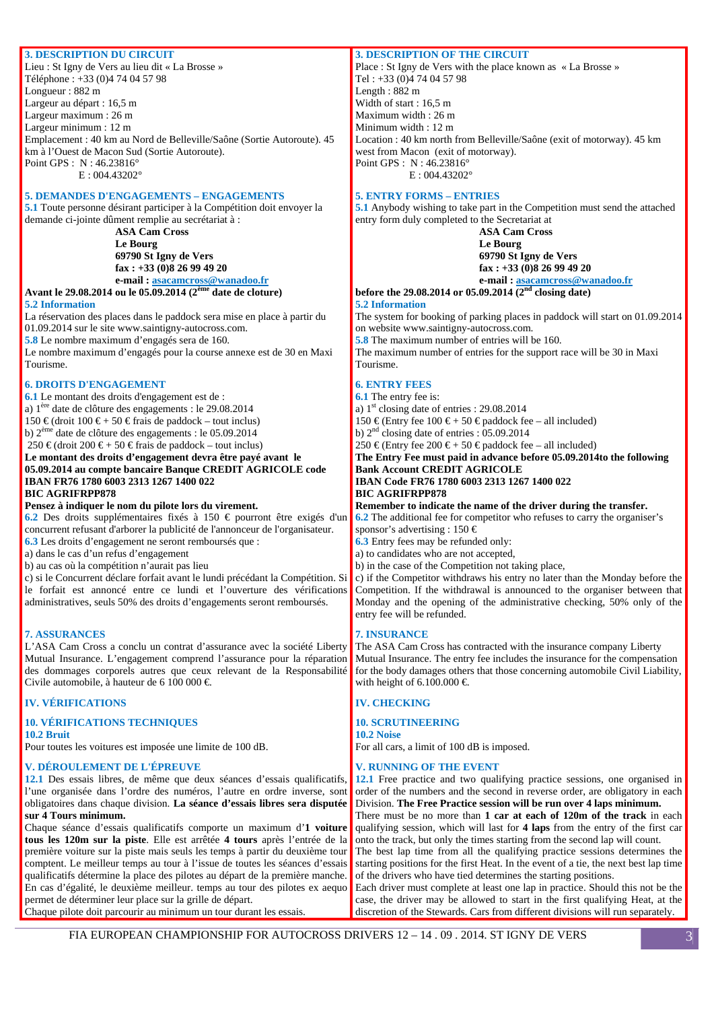### **3. DESCRIPTION DU CIRCUIT**

Lieu : St Igny de Vers au lieu dit « La Brosse » Téléphone : +33 (0)4 74 04 57 98 Longueur : 882 m Largeur au départ : 16,5 m Largeur maximum : 26 m Largeur minimum : 12 m Emplacement : 40 km au Nord de Belleville/Saône (Sortie Autoroute). 45 km à l'Ouest de Macon Sud (Sortie Autoroute). Point GPS : N : 46.23816°

E : 004.43202°

### **5. DEMANDES D'ENGAGEMENTS – ENGAGEMENTS**

**5.1** Toute personne désirant participer à la Compétition doit envoyer la demande ci-jointe dûment remplie au secrétariat à :

### **ASA Cam Cross Le Bourg 69790 St Igny de Vers fax : +33 (0)8 26 99 49 20**

#### **e-mail : asacamcross@wanadoo.fr Avant le 29.08.2014 ou le 05.09.2014 (2ème date de cloture)**

### **5.2 Information**

La réservation des places dans le paddock sera mise en place à partir du 01.09.2014 sur le site www.saintigny-autocross.com.

**5.8** Le nombre maximum d'engagés sera de 160.

Le nombre maximum d'engagés pour la course annexe est de 30 en Maxi Tourisme.

#### **6. DROITS D'ENGAGEMENT**

**6.1** Le montant des droits d'engagement est de :

a) 1ère date de clôture des engagements : le 29.08.2014

150 €(droit 100 € + 50 € frais de paddock – tout inclus)

b) 2ème date de clôture des engagements : le 05.09.2014

250 €(droit 200 € + 50 € frais de paddock – tout inclus)

#### **Le montant des droits d'engagement devra être payé avant le 05.09.2014 au compte bancaire Banque CREDIT AGRICOLE code IBAN FR76 1780 6003 2313 1267 1400 022 BIC AGRIFRPP878**

#### **Pensez à indiquer le nom du pilote lors du virement.**

**6.2** Des droits supplémentaires fixés à 150 € pourront être exigés d'un concurrent refusant d'arborer la publicité de l'annonceur de l'organisateur. **6.3** Les droits d'engagement ne seront remboursés que :

a) dans le cas d'un refus d'engagement

b) au cas où la compétition n'aurait pas lieu

c) si le Concurrent déclare forfait avant le lundi précédant la Compétition. Si le forfait est annoncé entre ce lundi et l'ouverture des vérifications administratives, seuls 50% des droits d'engagements seront remboursés.

#### **7. ASSURANCES**

L'ASA Cam Cross a conclu un contrat d'assurance avec la société Liberty Mutual Insurance. L'engagement comprend l'assurance pour la réparation des dommages corporels autres que ceux relevant de la Responsabilité Civile automobile, à hauteur de 6 100 000  $\in$ 

#### **IV. VÉRIFICATIONS**

#### **10. VÉRIFICATIONS TECHNIQUES**

**10.2 Bruit** 

Pour toutes les voitures est imposée une limite de 100 dB.

### **V. DÉROULEMENT DE L'ÉPREUVE**

**12.1** Des essais libres, de même que deux séances d'essais qualificatifs, l'une organisée dans l'ordre des numéros, l'autre en ordre inverse, sont obligatoires dans chaque division. **La séance d'essais libres sera disputée**  Division. **The Free Practice session will be run over 4 laps minimum. sur 4 Tours minimum.** 

Chaque séance d'essais qualificatifs comporte un maximum d'**1 voiture tous les 120m sur la piste**. Elle est arrêtée **4 tours** après l'entrée de la première voiture sur la piste mais seuls les temps à partir du deuxième tour comptent. Le meilleur temps au tour à l'issue de toutes les séances d'essais qualificatifs détermine la place des pilotes au départ de la première manche. En cas d'égalité, le deuxième meilleur. temps au tour des pilotes ex aequo permet de déterminer leur place sur la grille de départ. Chaque pilote doit parcourir au minimum un tour durant les essais.

### **3. DESCRIPTION OF THE CIRCUIT**

Place : St Igny de Vers with the place known as « La Brosse » Tel : +33 (0)4 74 04 57 98 Length : 882 m Width of start : 16,5 m Maximum width : 26 m Minimum width : 12 m Location : 40 km north from Belleville/Saône (exit of motorway). 45 km west from Macon (exit of motorway). Point GPS : N : 46.23816° E : 004.43202°

#### **5. ENTRY FORMS – ENTRIES**

**5.1** Anybody wishing to take part in the Competition must send the attached entry form duly completed to the Secretariat at

**ASA Cam Cross Le Bourg 69790 St Igny de Vers fax : +33 (0)8 26 99 49 20 e-mail : asacamcross@wanadoo.fr**

**before the 29.08.2014 or 05.09.2014 (2nd closing date)** 

### **5.2 Information**

The system for booking of parking places in paddock will start on 01.09.2014 on website www.saintigny-autocross.com.

**5.8** The maximum number of entries will be 160.

The maximum number of entries for the support race will be 30 in Maxi Tourisme.

### **6. ENTRY FEES**

**6.1** The entry fee is:

a)  $1<sup>st</sup> closing date of entries : 29.08.2014$ 

150 €(Entry fee 100 € + 50 € paddock fee – all included)

b)  $2<sup>nd</sup> closing date of entries : 05.09.2014$ 

250 € (Entry fee 200 € + 50 € paddock fee – all included) **The Entry Fee must paid in advance before 05.09.2014to the following Bank Account CREDIT AGRICOLE** 

### **IBAN Code FR76 1780 6003 2313 1267 1400 022 BIC AGRIFRPP878**

**Remember to indicate the name of the driver during the transfer. 6.2** The additional fee for competitor who refuses to carry the organiser's sponsor's advertising : 150  $\in$ 

**6.3** Entry fees may be refunded only:

a) to candidates who are not accepted,

b) in the case of the Competition not taking place,

c) if the Competitor withdraws his entry no later than the Monday before the Competition. If the withdrawal is announced to the organiser between that Monday and the opening of the administrative checking, 50% only of the entry fee will be refunded.

#### **7. INSURANCE**

The ASA Cam Cross has contracted with the insurance company Liberty Mutual Insurance. The entry fee includes the insurance for the compensation for the body damages others that those concerning automobile Civil Liability, with height of 6.100.000  $\in$ 

#### **IV. CHECKING**

### **10. SCRUTINEERING**

**10.2 Noise**  For all cars, a limit of 100 dB is imposed.

#### **V. RUNNING OF THE EVENT**

**12.1** Free practice and two qualifying practice sessions, one organised in order of the numbers and the second in reverse order, are obligatory in each There must be no more than **1 car at each of 120m of the track** in each

qualifying session, which will last for **4 laps** from the entry of the first car onto the track, but only the times starting from the second lap will count.

The best lap time from all the qualifying practice sessions determines the starting positions for the first Heat. In the event of a tie, the next best lap time of the drivers who have tied determines the starting positions.

Each driver must complete at least one lap in practice. Should this not be the case, the driver may be allowed to start in the first qualifying Heat, at the discretion of the Stewards. Cars from different divisions will run separately.